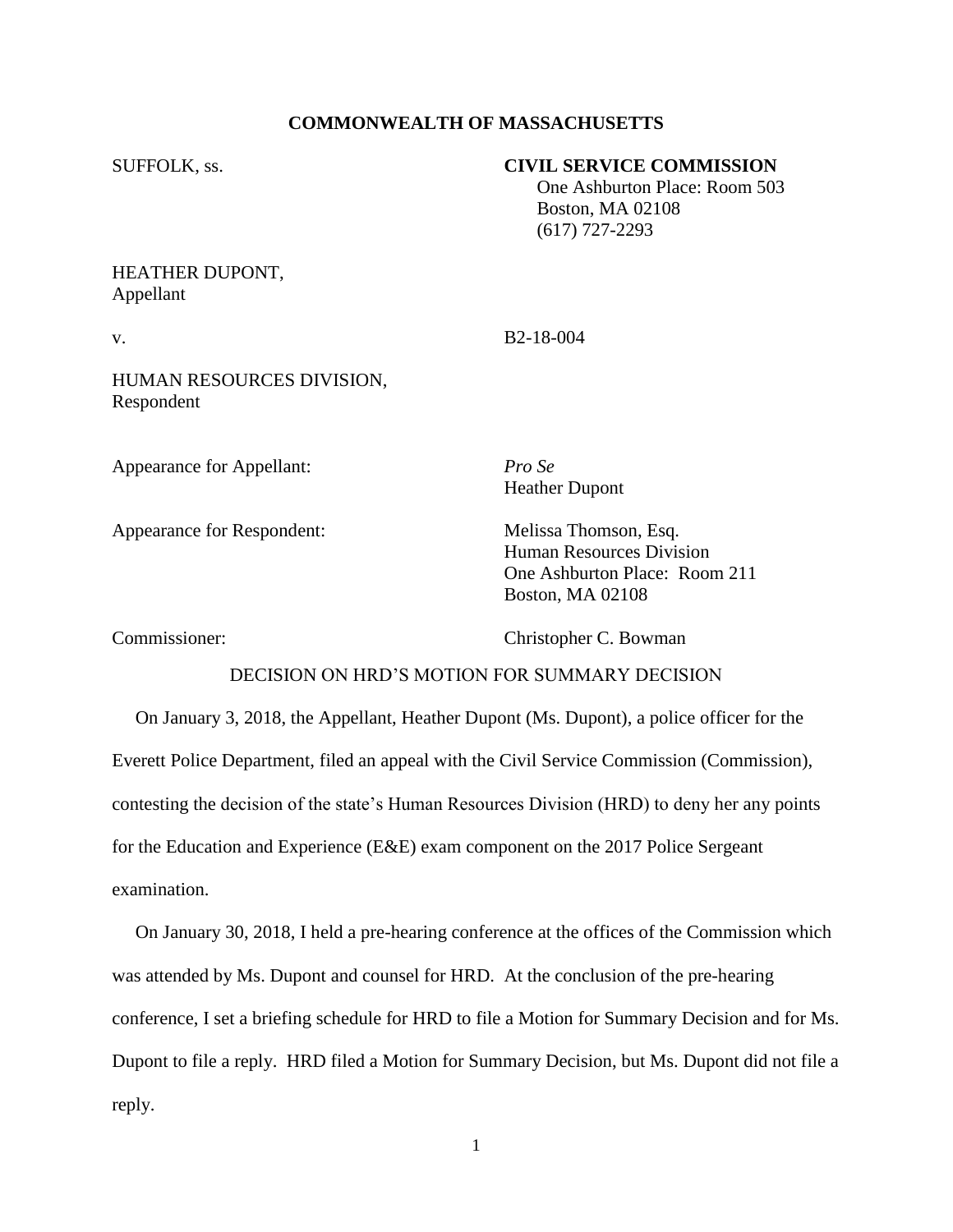## **COMMONWEALTH OF MASSACHUSETTS**

## SUFFOLK, ss. **CIVIL SERVICE COMMISSION**

 One Ashburton Place: Room 503 Boston, MA 02108 (617) 727-2293

## HEATHER DUPONT, Appellant

v. B2-18-004

HUMAN RESOURCES DIVISION, Respondent

Appearance for Appellant: *Pro Se*

Heather Dupont

Appearance for Respondent: Melissa Thomson, Esq.

Human Resources Division One Ashburton Place: Room 211 Boston, MA 02108

Commissioner: Christopher C. Bowman

## DECISION ON HRD'S MOTION FOR SUMMARY DECISION

 On January 3, 2018, the Appellant, Heather Dupont (Ms. Dupont), a police officer for the Everett Police Department, filed an appeal with the Civil Service Commission (Commission), contesting the decision of the state's Human Resources Division (HRD) to deny her any points for the Education and Experience (E&E) exam component on the 2017 Police Sergeant examination.

 On January 30, 2018, I held a pre-hearing conference at the offices of the Commission which was attended by Ms. Dupont and counsel for HRD. At the conclusion of the pre-hearing conference, I set a briefing schedule for HRD to file a Motion for Summary Decision and for Ms. Dupont to file a reply. HRD filed a Motion for Summary Decision, but Ms. Dupont did not file a reply.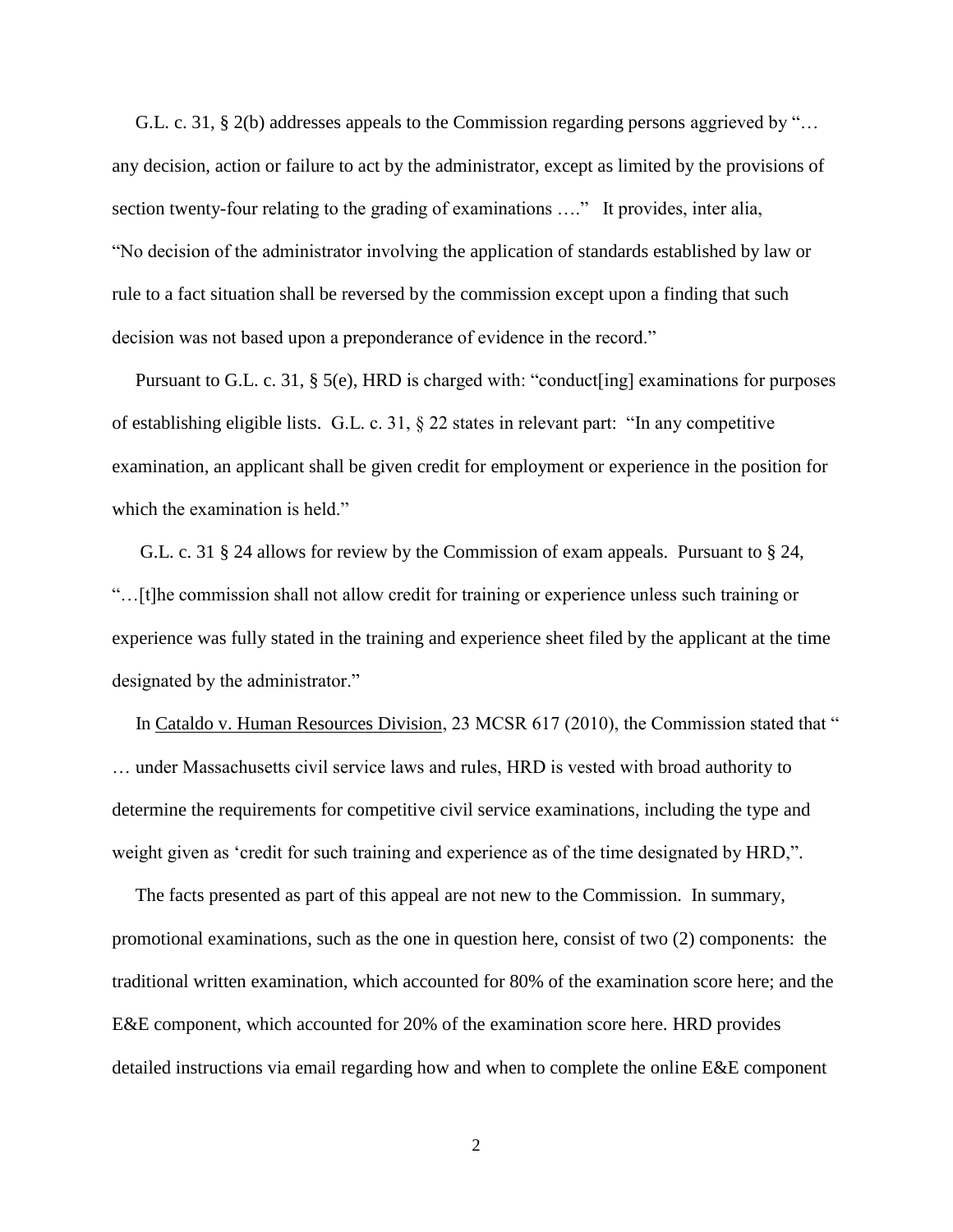G.L. c. 31, § 2(b) addresses appeals to the Commission regarding persons aggrieved by "… any decision, action or failure to act by the administrator, except as limited by the provisions of section twenty-four relating to the grading of examinations …." It provides, inter alia, "No decision of the administrator involving the application of standards established by law or rule to a fact situation shall be reversed by the commission except upon a finding that such decision was not based upon a preponderance of evidence in the record."

 Pursuant to G.L. c. 31, § 5(e), HRD is charged with: "conduct[ing] examinations for purposes of establishing eligible lists. G.L. c. 31, § 22 states in relevant part: "In any competitive examination, an applicant shall be given credit for employment or experience in the position for which the examination is held."

 G.L. c. 31 § 24 allows for review by the Commission of exam appeals. Pursuant to § 24, "…[t]he commission shall not allow credit for training or experience unless such training or experience was fully stated in the training and experience sheet filed by the applicant at the time designated by the administrator."

In Cataldo v. Human Resources Division, 23 MCSR 617 (2010), the Commission stated that " … under Massachusetts civil service laws and rules, HRD is vested with broad authority to determine the requirements for competitive civil service examinations, including the type and weight given as 'credit for such training and experience as of the time designated by HRD,".

 The facts presented as part of this appeal are not new to the Commission. In summary, promotional examinations, such as the one in question here, consist of two (2) components: the traditional written examination, which accounted for 80% of the examination score here; and the E&E component, which accounted for 20% of the examination score here. HRD provides detailed instructions via email regarding how and when to complete the online E&E component

2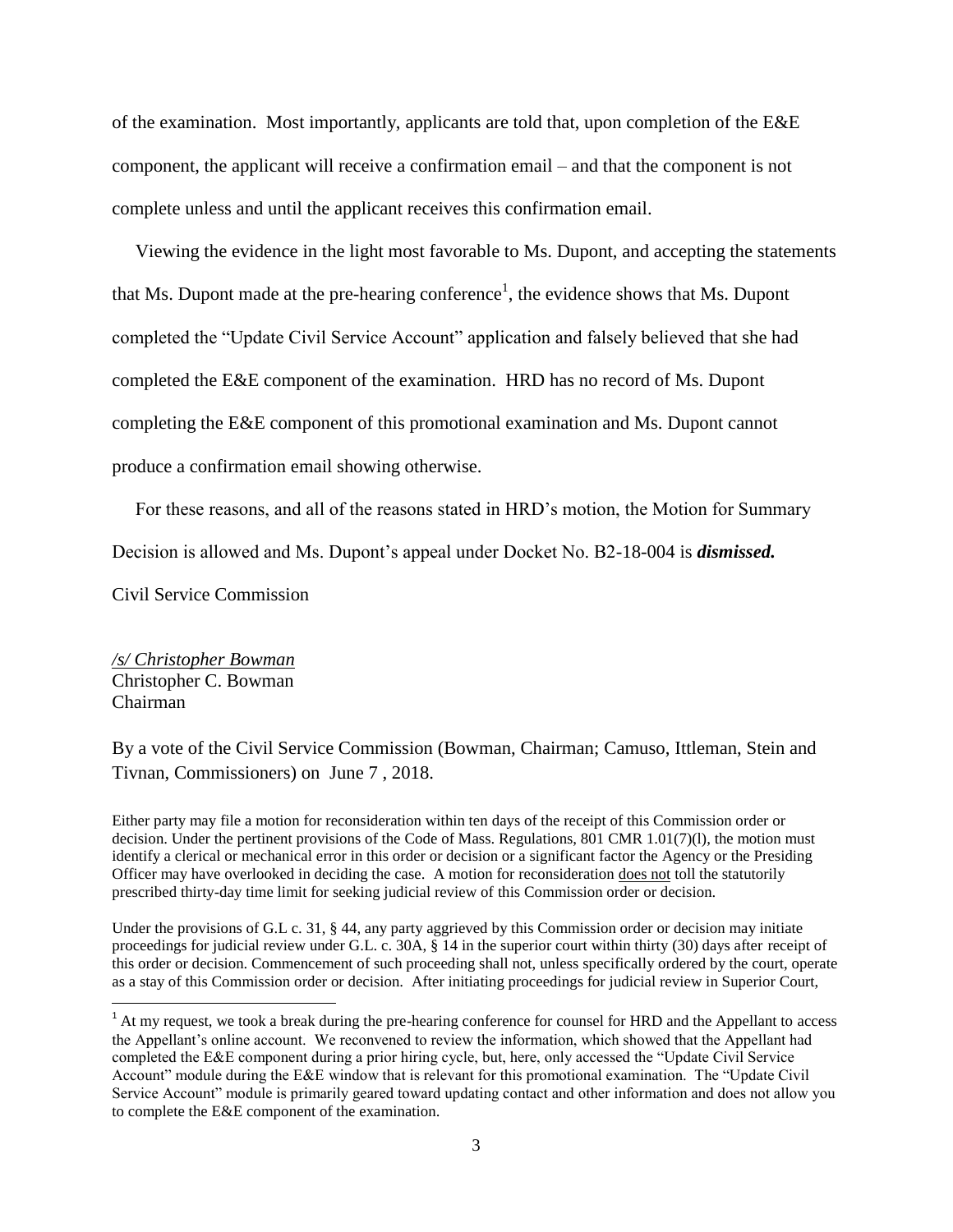of the examination. Most importantly, applicants are told that, upon completion of the E&E component, the applicant will receive a confirmation email – and that the component is not complete unless and until the applicant receives this confirmation email.

 Viewing the evidence in the light most favorable to Ms. Dupont, and accepting the statements that Ms. Dupont made at the pre-hearing conference<sup>1</sup>, the evidence shows that Ms. Dupont completed the "Update Civil Service Account" application and falsely believed that she had completed the E&E component of the examination. HRD has no record of Ms. Dupont completing the E&E component of this promotional examination and Ms. Dupont cannot produce a confirmation email showing otherwise.

For these reasons, and all of the reasons stated in HRD's motion, the Motion for Summary

Decision is allowed and Ms. Dupont's appeal under Docket No. B2-18-004 is *dismissed.*

Civil Service Commission

*/s/ Christopher Bowman* Christopher C. Bowman Chairman

l

By a vote of the Civil Service Commission (Bowman, Chairman; Camuso, Ittleman, Stein and Tivnan, Commissioners) on June 7 , 2018.

Either party may file a motion for reconsideration within ten days of the receipt of this Commission order or decision. Under the pertinent provisions of the Code of Mass. Regulations, 801 CMR 1.01(7)(l), the motion must identify a clerical or mechanical error in this order or decision or a significant factor the Agency or the Presiding Officer may have overlooked in deciding the case. A motion for reconsideration does not toll the statutorily prescribed thirty-day time limit for seeking judicial review of this Commission order or decision.

Under the provisions of G.L c. 31, § 44, any party aggrieved by this Commission order or decision may initiate proceedings for judicial review under G.L. c. 30A, § 14 in the superior court within thirty (30) days after receipt of this order or decision. Commencement of such proceeding shall not, unless specifically ordered by the court, operate as a stay of this Commission order or decision. After initiating proceedings for judicial review in Superior Court,

<sup>&</sup>lt;sup>1</sup> At my request, we took a break during the pre-hearing conference for counsel for HRD and the Appellant to access the Appellant's online account. We reconvened to review the information, which showed that the Appellant had completed the E&E component during a prior hiring cycle, but, here, only accessed the "Update Civil Service Account" module during the E&E window that is relevant for this promotional examination. The "Update Civil Service Account" module is primarily geared toward updating contact and other information and does not allow you to complete the E&E component of the examination.